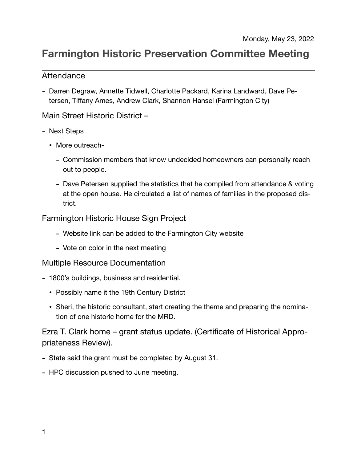# **Farmington Historic Preservation Committee Meeting**

## Attendance

- Darren Degraw, Annette Tidwell, Charlotte Packard, Karina Landward, Dave Petersen, Tiffany Ames, Andrew Clark, Shannon Hansel (Farmington City)

### Main Street Historic District –

- Next Steps
	- More outreach-
		- Commission members that know undecided homeowners can personally reach out to people.
		- Dave Petersen supplied the statistics that he compiled from attendance & voting at the open house. He circulated a list of names of families in the proposed district.

# Farmington Historic House Sign Project

- Website link can be added to the Farmington City website
- Vote on color in the next meeting

### Multiple Resource Documentation

- 1800's buildings, business and residential.
	- Possibly name it the 19th Century District
	- Sheri, the historic consultant, start creating the theme and preparing the nomination of one historic home for the MRD.

Ezra T. Clark home – grant status update. (Certificate of Historical Appropriateness Review).

- State said the grant must be completed by August 31.
- HPC discussion pushed to June meeting.